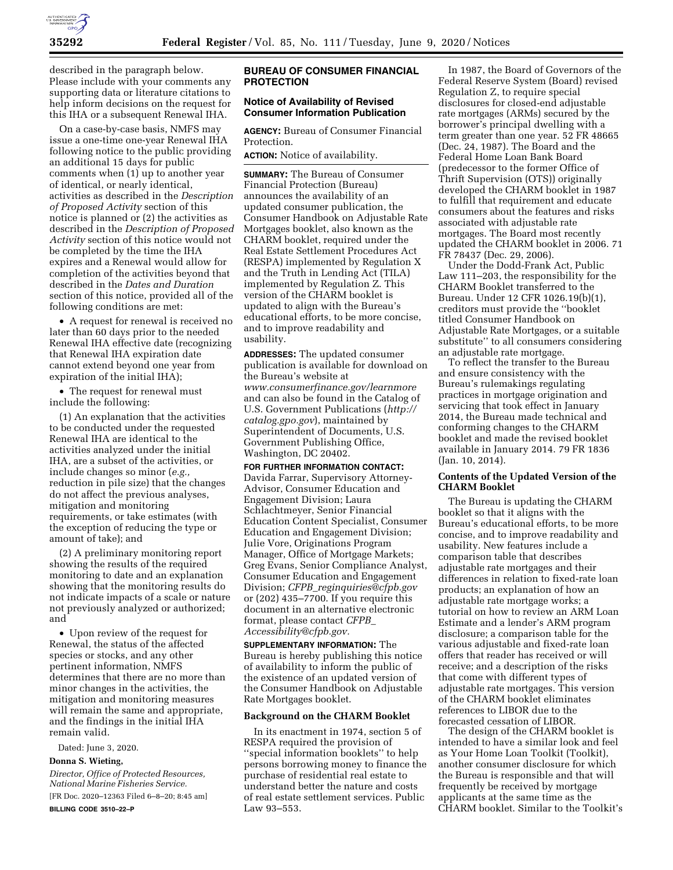

described in the paragraph below. Please include with your comments any supporting data or literature citations to help inform decisions on the request for this IHA or a subsequent Renewal IHA.

On a case-by-case basis, NMFS may issue a one-time one-year Renewal IHA following notice to the public providing an additional 15 days for public comments when (1) up to another year of identical, or nearly identical, activities as described in the *Description of Proposed Activity* section of this notice is planned or (2) the activities as described in the *Description of Proposed Activity* section of this notice would not be completed by the time the IHA expires and a Renewal would allow for completion of the activities beyond that described in the *Dates and Duration*  section of this notice, provided all of the following conditions are met:

• A request for renewal is received no later than 60 days prior to the needed Renewal IHA effective date (recognizing that Renewal IHA expiration date cannot extend beyond one year from expiration of the initial IHA);

• The request for renewal must include the following:

(1) An explanation that the activities to be conducted under the requested Renewal IHA are identical to the activities analyzed under the initial IHA, are a subset of the activities, or include changes so minor (*e.g.,*  reduction in pile size) that the changes do not affect the previous analyses, mitigation and monitoring requirements, or take estimates (with the exception of reducing the type or amount of take); and

(2) A preliminary monitoring report showing the results of the required monitoring to date and an explanation showing that the monitoring results do not indicate impacts of a scale or nature not previously analyzed or authorized; and

• Upon review of the request for Renewal, the status of the affected species or stocks, and any other pertinent information, NMFS determines that there are no more than minor changes in the activities, the mitigation and monitoring measures will remain the same and appropriate, and the findings in the initial IHA remain valid.

Dated: June 3, 2020.

# **Donna S. Wieting,**

*Director, Office of Protected Resources, National Marine Fisheries Service.*  [FR Doc. 2020–12363 Filed 6–8–20; 8:45 am]

**BILLING CODE 3510–22–P** 

## **BUREAU OF CONSUMER FINANCIAL PROTECTION**

## **Notice of Availability of Revised Consumer Information Publication**

**AGENCY:** Bureau of Consumer Financial Protection.

**ACTION:** Notice of availability.

**SUMMARY:** The Bureau of Consumer Financial Protection (Bureau) announces the availability of an updated consumer publication, the Consumer Handbook on Adjustable Rate Mortgages booklet, also known as the CHARM booklet, required under the Real Estate Settlement Procedures Act (RESPA) implemented by Regulation X and the Truth in Lending Act (TILA) implemented by Regulation Z. This version of the CHARM booklet is updated to align with the Bureau's educational efforts, to be more concise, and to improve readability and usability.

**ADDRESSES:** The updated consumer publication is available for download on the Bureau's website at *[www.consumerfinance.gov/learnmore](http://www.consumerfinance.gov/learnmore)*  and can also be found in the Catalog of U.S. Government Publications (*[http://](http://catalog.gpo.gov) [catalog.gpo.gov](http://catalog.gpo.gov)*), maintained by Superintendent of Documents, U.S. Government Publishing Office, Washington, DC 20402.

### **FOR FURTHER INFORMATION CONTACT:**

Davida Farrar, Supervisory Attorney-Advisor, Consumer Education and Engagement Division; Laura Schlachtmeyer, Senior Financial Education Content Specialist, Consumer Education and Engagement Division; Julie Vore, Originations Program Manager, Office of Mortgage Markets; Greg Evans, Senior Compliance Analyst, Consumer Education and Engagement Division; *CFPB*\_*[reginquiries@cfpb.gov](mailto:CFPB_reginquiries@cfpb.gov)*  or (202) 435–7700. If you require this document in an alternative electronic format, please contact *[CFPB](mailto:CFPB_Accessibility@cfpb.gov)*\_ *[Accessibility@cfpb.gov.](mailto:CFPB_Accessibility@cfpb.gov)* 

**SUPPLEMENTARY INFORMATION:** The Bureau is hereby publishing this notice of availability to inform the public of the existence of an updated version of the Consumer Handbook on Adjustable Rate Mortgages booklet.

## **Background on the CHARM Booklet**

In its enactment in 1974, section 5 of RESPA required the provision of ''special information booklets'' to help persons borrowing money to finance the purchase of residential real estate to understand better the nature and costs of real estate settlement services. Public Law 93–553.

In 1987, the Board of Governors of the Federal Reserve System (Board) revised Regulation Z, to require special disclosures for closed-end adjustable rate mortgages (ARMs) secured by the borrower's principal dwelling with a term greater than one year. 52 FR 48665 (Dec. 24, 1987). The Board and the Federal Home Loan Bank Board (predecessor to the former Office of Thrift Supervision (OTS)) originally developed the CHARM booklet in 1987 to fulfill that requirement and educate consumers about the features and risks associated with adjustable rate mortgages. The Board most recently updated the CHARM booklet in 2006. 71 FR 78437 (Dec. 29, 2006).

Under the Dodd-Frank Act, Public Law 111–203, the responsibility for the CHARM Booklet transferred to the Bureau. Under 12 CFR 1026.19(b)(1), creditors must provide the ''booklet titled Consumer Handbook on Adjustable Rate Mortgages, or a suitable substitute'' to all consumers considering an adjustable rate mortgage.

To reflect the transfer to the Bureau and ensure consistency with the Bureau's rulemakings regulating practices in mortgage origination and servicing that took effect in January 2014, the Bureau made technical and conforming changes to the CHARM booklet and made the revised booklet available in January 2014. 79 FR 1836 (Jan. 10, 2014).

# **Contents of the Updated Version of the CHARM Booklet**

The Bureau is updating the CHARM booklet so that it aligns with the Bureau's educational efforts, to be more concise, and to improve readability and usability. New features include a comparison table that describes adjustable rate mortgages and their differences in relation to fixed-rate loan products; an explanation of how an adjustable rate mortgage works; a tutorial on how to review an ARM Loan Estimate and a lender's ARM program disclosure; a comparison table for the various adjustable and fixed-rate loan offers that reader has received or will receive; and a description of the risks that come with different types of adjustable rate mortgages. This version of the CHARM booklet eliminates references to LIBOR due to the forecasted cessation of LIBOR.

The design of the CHARM booklet is intended to have a similar look and feel as Your Home Loan Toolkit (Toolkit), another consumer disclosure for which the Bureau is responsible and that will frequently be received by mortgage applicants at the same time as the CHARM booklet. Similar to the Toolkit's